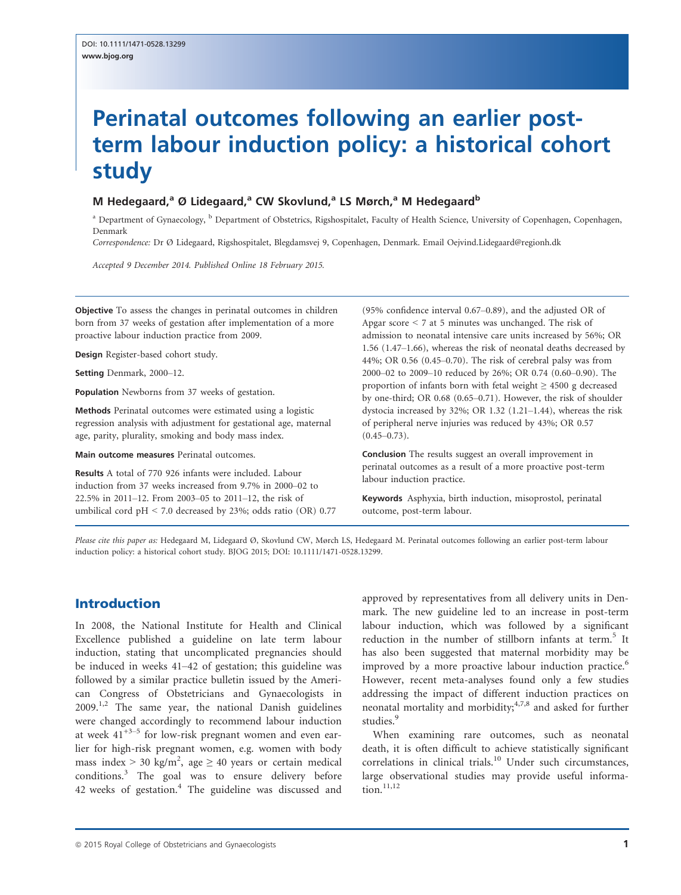# Perinatal outcomes following an earlier postterm labour induction policy: a historical cohort study

# M Hedegaard,<sup>a</sup> Ø Lidegaard,<sup>a</sup> CW Skovlund,<sup>a</sup> LS Mørch,<sup>a</sup> M Hedegaard<sup>b</sup>

<sup>a</sup> Department of Gynaecology, <sup>b</sup> Department of Obstetrics, Rigshospitalet, Faculty of Health Science, University of Copenhagen, Copenhagen, Denmark

Correspondence: Dr Ø Lidegaard, Rigshospitalet, Blegdamsvej 9, Copenhagen, Denmark. Email Oejvind.Lidegaard@regionh.dk

Accepted 9 December 2014. Published Online 18 February 2015.

Objective To assess the changes in perinatal outcomes in children born from 37 weeks of gestation after implementation of a more proactive labour induction practice from 2009.

Design Register-based cohort study.

Setting Denmark, 2000-12.

Population Newborns from 37 weeks of gestation.

Methods Perinatal outcomes were estimated using a logistic regression analysis with adjustment for gestational age, maternal age, parity, plurality, smoking and body mass index.

Main outcome measures Perinatal outcomes.

Results A total of 770 926 infants were included. Labour induction from 37 weeks increased from 9.7% in 2000–02 to 22.5% in 2011–12. From 2003–05 to 2011–12, the risk of umbilical cord pH < 7.0 decreased by 23%; odds ratio (OR) 0.77

(95% confidence interval 0.67–0.89), and the adjusted OR of Apgar score < 7 at 5 minutes was unchanged. The risk of admission to neonatal intensive care units increased by 56%; OR 1.56 (1.47–1.66), whereas the risk of neonatal deaths decreased by 44%; OR 0.56 (0.45–0.70). The risk of cerebral palsy was from 2000–02 to 2009–10 reduced by 26%; OR 0.74 (0.60–0.90). The proportion of infants born with fetal weight  $\geq$  4500 g decreased by one-third; OR 0.68 (0.65–0.71). However, the risk of shoulder dystocia increased by 32%; OR 1.32 (1.21–1.44), whereas the risk of peripheral nerve injuries was reduced by 43%; OR 0.57  $(0.45 - 0.73)$ .

Conclusion The results suggest an overall improvement in perinatal outcomes as a result of a more proactive post-term labour induction practice.

Keywords Asphyxia, birth induction, misoprostol, perinatal outcome, post-term labour.

Please cite this paper as: Hedegaard M, Lidegaard Ø, Skovlund CW, Mørch LS, Hedegaard M. Perinatal outcomes following an earlier post-term labour induction policy: a historical cohort study. BJOG 2015; DOI: [10.1111/1471-0528.13299.](http://dx.doi.org/10.1111/1471-0528.13293)

# Introduction

In 2008, the National Institute for Health and Clinical Excellence published a guideline on late term labour induction, stating that uncomplicated pregnancies should be induced in weeks 41–42 of gestation; this guideline was followed by a similar practice bulletin issued by the American Congress of Obstetricians and Gynaecologists in  $2009$ <sup>1,2</sup> The same year, the national Danish guidelines were changed accordingly to recommend labour induction at week  $41^{+3-5}$  for low-risk pregnant women and even earlier for high-risk pregnant women, e.g. women with body mass index > 30 kg/m<sup>2</sup>, age  $\geq 40$  years or certain medical conditions.<sup>3</sup> The goal was to ensure delivery before 42 weeks of gestation.<sup>4</sup> The guideline was discussed and

approved by representatives from all delivery units in Denmark. The new guideline led to an increase in post-term labour induction, which was followed by a significant reduction in the number of stillborn infants at term.<sup>5</sup> It has also been suggested that maternal morbidity may be improved by a more proactive labour induction practice.<sup>6</sup> However, recent meta-analyses found only a few studies addressing the impact of different induction practices on neonatal mortality and morbidity;<sup>4,7,8</sup> and asked for further studies.<sup>9</sup>

When examining rare outcomes, such as neonatal death, it is often difficult to achieve statistically significant correlations in clinical trials.<sup>10</sup> Under such circumstances, large observational studies may provide useful information. $11,12$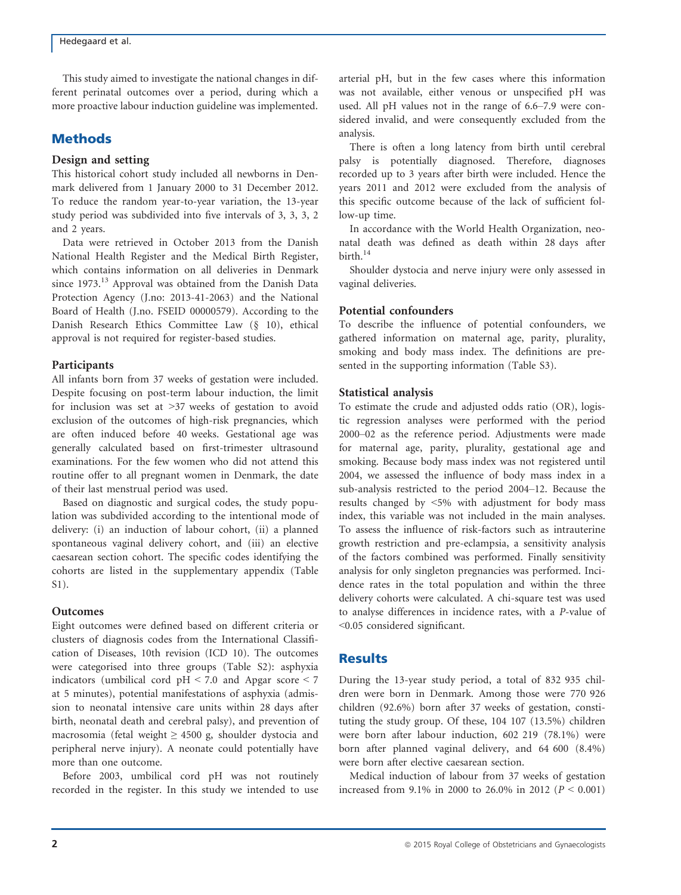This study aimed to investigate the national changes in different perinatal outcomes over a period, during which a more proactive labour induction guideline was implemented.

# **Methods**

### Design and setting

This historical cohort study included all newborns in Denmark delivered from 1 January 2000 to 31 December 2012. To reduce the random year-to-year variation, the 13-year study period was subdivided into five intervals of 3, 3, 3, 2 and 2 years.

Data were retrieved in October 2013 from the Danish National Health Register and the Medical Birth Register, which contains information on all deliveries in Denmark since  $1973$ <sup>13</sup> Approval was obtained from the Danish Data Protection Agency (J.no: 2013-41-2063) and the National Board of Health (J.no. FSEID 00000579). According to the Danish Research Ethics Committee Law (§ 10), ethical approval is not required for register-based studies.

# **Participants**

All infants born from 37 weeks of gestation were included. Despite focusing on post-term labour induction, the limit for inclusion was set at >37 weeks of gestation to avoid exclusion of the outcomes of high-risk pregnancies, which are often induced before 40 weeks. Gestational age was generally calculated based on first-trimester ultrasound examinations. For the few women who did not attend this routine offer to all pregnant women in Denmark, the date of their last menstrual period was used.

Based on diagnostic and surgical codes, the study population was subdivided according to the intentional mode of delivery: (i) an induction of labour cohort, (ii) a planned spontaneous vaginal delivery cohort, and (iii) an elective caesarean section cohort. The specific codes identifying the cohorts are listed in the supplementary appendix (Table S1).

# **Outcomes**

Eight outcomes were defined based on different criteria or clusters of diagnosis codes from the International Classification of Diseases, 10th revision (ICD 10). The outcomes were categorised into three groups (Table S2): asphyxia indicators (umbilical cord  $pH < 7.0$  and Apgar score  $< 7$ at 5 minutes), potential manifestations of asphyxia (admission to neonatal intensive care units within 28 days after birth, neonatal death and cerebral palsy), and prevention of macrosomia (fetal weight  $\geq$  4500 g, shoulder dystocia and peripheral nerve injury). A neonate could potentially have more than one outcome.

Before 2003, umbilical cord pH was not routinely recorded in the register. In this study we intended to use arterial pH, but in the few cases where this information was not available, either venous or unspecified pH was used. All pH values not in the range of 6.6–7.9 were considered invalid, and were consequently excluded from the analysis.

There is often a long latency from birth until cerebral palsy is potentially diagnosed. Therefore, diagnoses recorded up to 3 years after birth were included. Hence the years 2011 and 2012 were excluded from the analysis of this specific outcome because of the lack of sufficient follow-up time.

In accordance with the World Health Organization, neonatal death was defined as death within 28 days after  $birth.<sup>14</sup>$ 

Shoulder dystocia and nerve injury were only assessed in vaginal deliveries.

# Potential confounders

To describe the influence of potential confounders, we gathered information on maternal age, parity, plurality, smoking and body mass index. The definitions are presented in the supporting information (Table S3).

# Statistical analysis

To estimate the crude and adjusted odds ratio (OR), logistic regression analyses were performed with the period 2000–02 as the reference period. Adjustments were made for maternal age, parity, plurality, gestational age and smoking. Because body mass index was not registered until 2004, we assessed the influence of body mass index in a sub-analysis restricted to the period 2004–12. Because the results changed by <5% with adjustment for body mass index, this variable was not included in the main analyses. To assess the influence of risk-factors such as intrauterine growth restriction and pre-eclampsia, a sensitivity analysis of the factors combined was performed. Finally sensitivity analysis for only singleton pregnancies was performed. Incidence rates in the total population and within the three delivery cohorts were calculated. A chi-square test was used to analyse differences in incidence rates, with a P-value of <0.05 considered significant.

# **Results**

During the 13-year study period, a total of 832 935 children were born in Denmark. Among those were 770 926 children (92.6%) born after 37 weeks of gestation, constituting the study group. Of these, 104 107 (13.5%) children were born after labour induction, 602 219 (78.1%) were born after planned vaginal delivery, and 64 600 (8.4%) were born after elective caesarean section.

Medical induction of labour from 37 weeks of gestation increased from 9.1% in 2000 to 26.0% in 2012 ( $P < 0.001$ )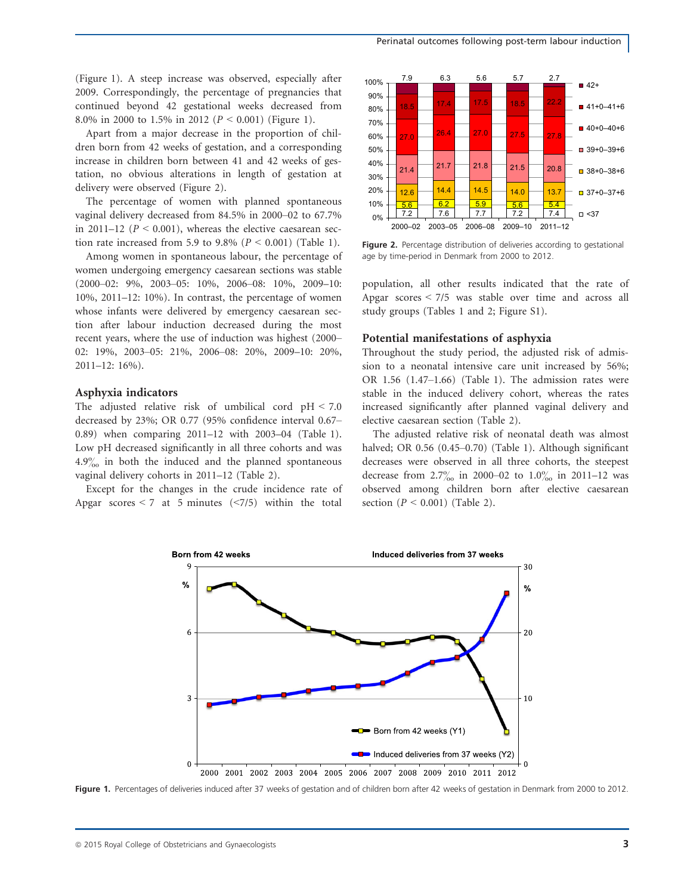(Figure 1). A steep increase was observed, especially after 2009. Correspondingly, the percentage of pregnancies that continued beyond 42 gestational weeks decreased from 8.0% in 2000 to 1.5% in 2012 ( $P < 0.001$ ) (Figure 1).

Apart from a major decrease in the proportion of children born from 42 weeks of gestation, and a corresponding increase in children born between 41 and 42 weeks of gestation, no obvious alterations in length of gestation at delivery were observed (Figure 2).

The percentage of women with planned spontaneous vaginal delivery decreased from 84.5% in 2000–02 to 67.7% in 2011–12 ( $P < 0.001$ ), whereas the elective caesarean section rate increased from 5.9 to 9.8% ( $P < 0.001$ ) (Table 1).

Among women in spontaneous labour, the percentage of women undergoing emergency caesarean sections was stable (2000–02: 9%, 2003–05: 10%, 2006–08: 10%, 2009–10: 10%, 2011–12: 10%). In contrast, the percentage of women whose infants were delivered by emergency caesarean section after labour induction decreased during the most recent years, where the use of induction was highest (2000– 02: 19%, 2003–05: 21%, 2006–08: 20%, 2009–10: 20%, 2011–12: 16%).

#### Asphyxia indicators

The adjusted relative risk of umbilical cord pH < 7.0 decreased by 23%; OR 0.77 (95% confidence interval 0.67– 0.89) when comparing 2011–12 with 2003–04 (Table 1). Low pH decreased significantly in all three cohorts and was  $4.9\%$  in both the induced and the planned spontaneous vaginal delivery cohorts in 2011–12 (Table 2).

Except for the changes in the crude incidence rate of Apgar scores  $\leq 7$  at 5 minutes  $(\leq 7/5)$  within the total



Figure 2. Percentage distribution of deliveries according to gestational age by time-period in Denmark from 2000 to 2012.

population, all other results indicated that the rate of Apgar scores < 7/5 was stable over time and across all study groups (Tables 1 and 2; Figure S1).

#### Potential manifestations of asphyxia

Throughout the study period, the adjusted risk of admission to a neonatal intensive care unit increased by 56%; OR 1.56 (1.47–1.66) (Table 1). The admission rates were stable in the induced delivery cohort, whereas the rates increased significantly after planned vaginal delivery and elective caesarean section (Table 2).

The adjusted relative risk of neonatal death was almost halved; OR 0.56 (0.45–0.70) (Table 1). Although significant decreases were observed in all three cohorts, the steepest decrease from 2.7% in 2000–02 to 1.0% in 2011–12 was observed among children born after elective caesarean section ( $P < 0.001$ ) (Table 2).



Figure 1. Percentages of deliveries induced after 37 weeks of gestation and of children born after 42 weeks of gestation in Denmark from 2000 to 2012.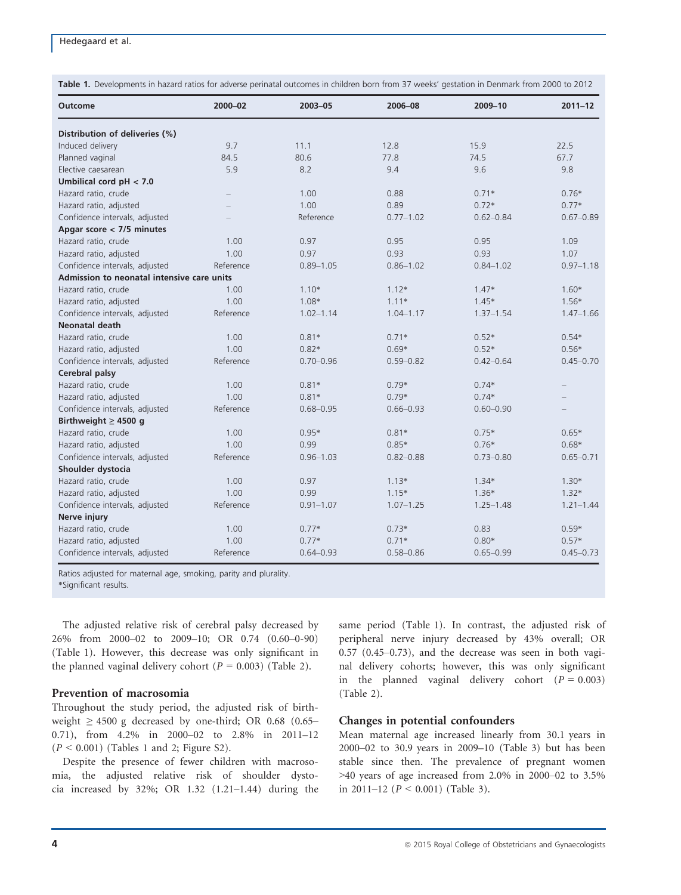|  | Table 1. Developments in hazard ratios for adverse perinatal outcomes in children born from 37 weeks' gestation in Denmark from 2000 to 2012 |  |
|--|----------------------------------------------------------------------------------------------------------------------------------------------|--|
|--|----------------------------------------------------------------------------------------------------------------------------------------------|--|

| <b>Outcome</b>                             | 2000-02   | 2003-05       | 2006-08       | 2009-10       | $2011 - 12$   |  |
|--------------------------------------------|-----------|---------------|---------------|---------------|---------------|--|
| Distribution of deliveries (%)             |           |               |               |               |               |  |
| Induced delivery                           | 9.7       | 11.1          | 12.8          | 15.9          | 22.5          |  |
| Planned vaginal                            | 84.5      | 80.6          | 77.8          | 74.5          | 67.7          |  |
| Elective caesarean                         | 5.9       | 8.2           | 9.4           | 9.6           | 9.8           |  |
| Umbilical cord $pH < 7.0$                  |           |               |               |               |               |  |
| Hazard ratio, crude                        |           | 1.00          | 0.88          | $0.71*$       | $0.76*$       |  |
| Hazard ratio, adjusted                     |           | 1.00          | 0.89          | $0.72*$       | $0.77*$       |  |
| Confidence intervals, adjusted             |           | Reference     | $0.77 - 1.02$ | $0.62 - 0.84$ | $0.67 - 0.89$ |  |
| Apgar score < 7/5 minutes                  |           |               |               |               |               |  |
| Hazard ratio, crude                        | 1.00      | 0.97          | 0.95          | 0.95          | 1.09          |  |
| Hazard ratio, adjusted                     | 1.00      | 0.97          | 0.93          | 0.93          | 1.07          |  |
| Confidence intervals, adjusted             | Reference | $0.89 - 1.05$ | $0.86 - 1.02$ | $0.84 - 1.02$ | $0.97 - 1.18$ |  |
| Admission to neonatal intensive care units |           |               |               |               |               |  |
| Hazard ratio, crude                        | 1.00      | $1.10*$       | $1.12*$       | $1.47*$       | $1.60*$       |  |
| Hazard ratio, adjusted                     | 1.00      | 1.08*         | $1.11*$       | $1.45*$       | $1.56*$       |  |
| Confidence intervals, adjusted             | Reference | $1.02 - 1.14$ | $1.04 - 1.17$ | $1.37 - 1.54$ | $1.47 - 1.66$ |  |
| <b>Neonatal death</b>                      |           |               |               |               |               |  |
| Hazard ratio, crude                        | 1.00      | $0.81*$       | $0.71*$       | $0.52*$       | $0.54*$       |  |
| Hazard ratio, adjusted                     | 1.00      | $0.82*$       | $0.69*$       | $0.52*$       | $0.56*$       |  |
| Confidence intervals, adjusted             | Reference | $0.70 - 0.96$ | $0.59 - 0.82$ | $0.42 - 0.64$ | $0.45 - 0.70$ |  |
| Cerebral palsy                             |           |               |               |               |               |  |
| Hazard ratio, crude                        | 1.00      | $0.81*$       | $0.79*$       | $0.74*$       |               |  |
| Hazard ratio, adjusted                     | 1.00      | $0.81*$       | $0.79*$       | $0.74*$       |               |  |
| Confidence intervals, adjusted             | Reference | $0.68 - 0.95$ | $0.66 - 0.93$ | $0.60 - 0.90$ |               |  |
| Birthweight $\geq$ 4500 g                  |           |               |               |               |               |  |
| Hazard ratio, crude                        | 1.00      | $0.95*$       | $0.81*$       | $0.75*$       | $0.65*$       |  |
| Hazard ratio, adjusted                     | 1.00      | 0.99          | $0.85*$       | $0.76*$       | $0.68*$       |  |
| Confidence intervals, adjusted             | Reference | $0.96 - 1.03$ | $0.82 - 0.88$ | $0.73 - 0.80$ | $0.65 - 0.71$ |  |
| Shoulder dystocia                          |           |               |               |               |               |  |
| Hazard ratio, crude                        | 1.00      | 0.97          | $1.13*$       | $1.34*$       | $1.30*$       |  |
| Hazard ratio, adjusted                     | 1.00      | 0.99          | $1.15*$       | $1.36*$       | $1.32*$       |  |
| Confidence intervals, adjusted             | Reference | $0.91 - 1.07$ | $1.07 - 1.25$ | $1.25 - 1.48$ | $1.21 - 1.44$ |  |
| Nerve injury                               |           |               |               |               |               |  |
| Hazard ratio, crude                        | 1.00      | $0.77*$       | $0.73*$       | 0.83          | $0.59*$       |  |
| Hazard ratio, adjusted                     | 1.00      | $0.77*$       | $0.71*$       | $0.80*$       | $0.57*$       |  |
| Confidence intervals, adjusted             | Reference | $0.64 - 0.93$ | $0.58 - 0.86$ | $0.65 - 0.99$ | $0.45 - 0.73$ |  |

Ratios adjusted for maternal age, smoking, parity and plurality.

\*Significant results.

The adjusted relative risk of cerebral palsy decreased by 26% from 2000–02 to 2009–10; OR 0.74 (0.60–0-90) (Table 1). However, this decrease was only significant in the planned vaginal delivery cohort ( $P = 0.003$ ) (Table 2).

#### Prevention of macrosomia

Throughout the study period, the adjusted risk of birthweight  $\geq$  4500 g decreased by one-third; OR 0.68 (0.65– 0.71), from 4.2% in 2000–02 to 2.8% in 2011–12  $(P < 0.001)$  (Tables 1 and 2; Figure S2).

Despite the presence of fewer children with macrosomia, the adjusted relative risk of shoulder dystocia increased by 32%; OR 1.32 (1.21–1.44) during the same period (Table 1). In contrast, the adjusted risk of peripheral nerve injury decreased by 43% overall; OR 0.57 (0.45–0.73), and the decrease was seen in both vaginal delivery cohorts; however, this was only significant in the planned vaginal delivery cohort  $(P = 0.003)$ (Table 2).

#### Changes in potential confounders

Mean maternal age increased linearly from 30.1 years in 2000–02 to 30.9 years in 2009–10 (Table 3) but has been stable since then. The prevalence of pregnant women  $>40$  years of age increased from 2.0% in 2000–02 to 3.5% in 2011–12 ( $P < 0.001$ ) (Table 3).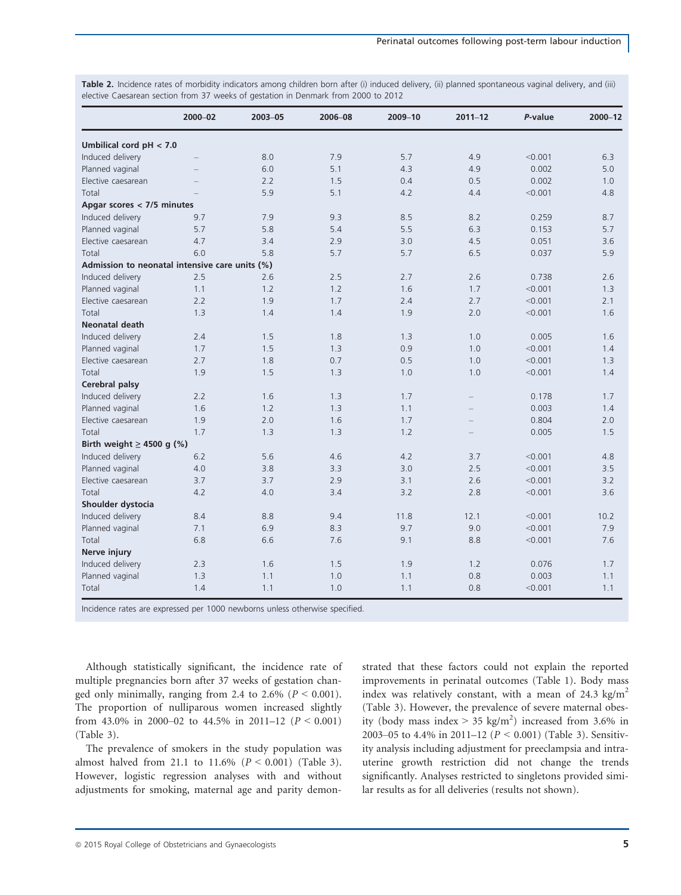Table 2. Incidence rates of morbidity indicators among children born after (i) induced delivery, (ii) planned spontaneous vaginal delivery, and (iii) elective Caesarean section from 37 weeks of gestation in Denmark from 2000 to 2012

|                                                | 2000-02 | 2003-05 | 2006-08 | 2009-10 | $2011 - 12$ | P-value | 2000-12 |
|------------------------------------------------|---------|---------|---------|---------|-------------|---------|---------|
| Umbilical cord $pH < 7.0$                      |         |         |         |         |             |         |         |
| Induced delivery                               |         | 8.0     | 7.9     | 5.7     | 4.9         | < 0.001 | 6.3     |
| Planned vaginal                                |         | 6.0     | 5.1     | 4.3     | 4.9         | 0.002   | 5.0     |
| Elective caesarean                             |         | 2.2     | 1.5     | 0.4     | 0.5         | 0.002   | 1.0     |
| Total                                          |         | 5.9     | 5.1     | 4.2     | 4.4         | < 0.001 | 4.8     |
| Apgar scores $<$ 7/5 minutes                   |         |         |         |         |             |         |         |
| Induced delivery                               | 9.7     | 7.9     | 9.3     | 8.5     | 8.2         | 0.259   | 8.7     |
| Planned vaginal                                | 5.7     | 5.8     | 5.4     | 5.5     | 6.3         | 0.153   | 5.7     |
| Elective caesarean                             | 4.7     | 3.4     | 2.9     | 3.0     | 4.5         | 0.051   | 3.6     |
| Total                                          | 6.0     | 5.8     | 5.7     | 5.7     | 6.5         | 0.037   | 5.9     |
| Admission to neonatal intensive care units (%) |         |         |         |         |             |         |         |
| Induced delivery                               | 2.5     | 2.6     | 2.5     | 2.7     | 2.6         | 0.738   | 2.6     |
| Planned vaginal                                | 1.1     | 1.2     | 1.2     | 1.6     | 1.7         | < 0.001 | 1.3     |
| Elective caesarean                             | 2.2     | 1.9     | 1.7     | 2.4     | 2.7         | < 0.001 | 2.1     |
| Total                                          | 1.3     | 1.4     | 1.4     | 1.9     | 2.0         | < 0.001 | 1.6     |
| <b>Neonatal death</b>                          |         |         |         |         |             |         |         |
| Induced delivery                               | 2.4     | 1.5     | 1.8     | 1.3     | 1.0         | 0.005   | 1.6     |
| Planned vaginal                                | 1.7     | 1.5     | 1.3     | 0.9     | 1.0         | < 0.001 | 1.4     |
| Elective caesarean                             | 2.7     | 1.8     | 0.7     | 0.5     | 1.0         | < 0.001 | 1.3     |
| Total                                          | 1.9     | 1.5     | 1.3     | 1.0     | 1.0         | < 0.001 | 1.4     |
| Cerebral palsy                                 |         |         |         |         |             |         |         |
| Induced delivery                               | 2.2     | 1.6     | 1.3     | 1.7     |             | 0.178   | 1.7     |
| Planned vaginal                                | 1.6     | 1.2     | 1.3     | 1.1     |             | 0.003   | 1.4     |
| Elective caesarean                             | 1.9     | 2.0     | 1.6     | 1.7     |             | 0.804   | 2.0     |
| Total                                          | 1.7     | 1.3     | 1.3     | 1.2     |             | 0.005   | 1.5     |
| Birth weight $\geq$ 4500 g (%)                 |         |         |         |         |             |         |         |
| Induced delivery                               | 6.2     | 5.6     | 4.6     | 4.2     | 3.7         | < 0.001 | 4.8     |
| Planned vaginal                                | 4.0     | 3.8     | 3.3     | 3.0     | 2.5         | < 0.001 | 3.5     |
| Elective caesarean                             | 3.7     | 3.7     | 2.9     | 3.1     | 2.6         | < 0.001 | 3.2     |
| Total                                          | 4.2     | 4.0     | 3.4     | 3.2     | 2.8         | < 0.001 | 3.6     |
| Shoulder dystocia                              |         |         |         |         |             |         |         |
| Induced delivery                               | 8.4     | 8.8     | 9.4     | 11.8    | 12.1        | < 0.001 | 10.2    |
| Planned vaginal                                | 7.1     | 6.9     | 8.3     | 9.7     | 9.0         | < 0.001 | 7.9     |
| Total                                          | 6.8     | 6.6     | 7.6     | 9.1     | 8.8         | < 0.001 | 7.6     |
| Nerve injury                                   |         |         |         |         |             |         |         |
| Induced delivery                               | 2.3     | 1.6     | 1.5     | 1.9     | 1.2         | 0.076   | 1.7     |
| Planned vaginal                                | 1.3     | 1.1     | 1.0     | 1.1     | 0.8         | 0.003   | 1.1     |
| Total                                          | 1.4     | 1.1     | 1.0     | 1.1     | 0.8         | < 0.001 | 1.1     |

Incidence rates are expressed per 1000 newborns unless otherwise specified.

Although statistically significant, the incidence rate of multiple pregnancies born after 37 weeks of gestation changed only minimally, ranging from 2.4 to 2.6% ( $P < 0.001$ ). The proportion of nulliparous women increased slightly from 43.0% in 2000–02 to 44.5% in 2011–12 ( $P < 0.001$ ) (Table 3).

The prevalence of smokers in the study population was almost halved from 21.1 to 11.6%  $(P < 0.001)$  (Table 3). However, logistic regression analyses with and without adjustments for smoking, maternal age and parity demon-

strated that these factors could not explain the reported improvements in perinatal outcomes (Table 1). Body mass index was relatively constant, with a mean of 24.3 kg/m<sup>2</sup> (Table 3). However, the prevalence of severe maternal obesity (body mass index  $> 35$  kg/m<sup>2</sup>) increased from 3.6% in 2003–05 to 4.4% in 2011–12 ( $P < 0.001$ ) (Table 3). Sensitivity analysis including adjustment for preeclampsia and intrauterine growth restriction did not change the trends significantly. Analyses restricted to singletons provided similar results as for all deliveries (results not shown).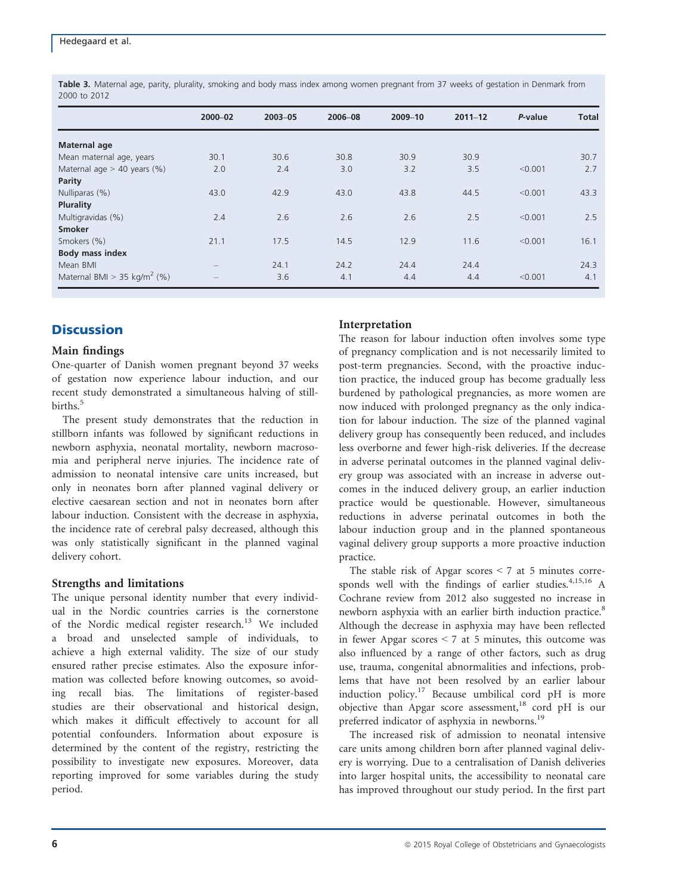|                                         | 2000-02 | 2003-05 | 2006-08 | 2009-10 | $2011 - 12$ | P-value | <b>Total</b> |
|-----------------------------------------|---------|---------|---------|---------|-------------|---------|--------------|
|                                         |         |         |         |         |             |         |              |
| Maternal age                            |         |         |         |         |             |         |              |
| Mean maternal age, years                | 30.1    | 30.6    | 30.8    | 30.9    | 30.9        |         | 30.7         |
| Maternal age $>$ 40 years (%)           | 2.0     | 2.4     | 3.0     | 3.2     | 3.5         | < 0.001 | 2.7          |
| Parity                                  |         |         |         |         |             |         |              |
| Nulliparas (%)                          | 43.0    | 42.9    | 43.0    | 43.8    | 44.5        | < 0.001 | 43.3         |
| Plurality                               |         |         |         |         |             |         |              |
| Multigravidas (%)                       | 2.4     | 2.6     | 2.6     | 2.6     | 2.5         | < 0.001 | 2.5          |
| <b>Smoker</b>                           |         |         |         |         |             |         |              |
| Smokers (%)                             | 21.1    | 17.5    | 14.5    | 12.9    | 11.6        | < 0.001 | 16.1         |
| <b>Body mass index</b>                  |         |         |         |         |             |         |              |
| Mean BMI                                |         | 24.1    | 24.2    | 24.4    | 24.4        |         | 24.3         |
| Maternal BMI > 35 kg/m <sup>2</sup> (%) |         | 3.6     | 4.1     | 4.4     | 4.4         | < 0.001 | 4.1          |

Table 3. Maternal age, parity, plurality, smoking and body mass index among women pregnant from 37 weeks of gestation in Denmark from 2000 to 2012

# **Discussion**

### Main findings

One-quarter of Danish women pregnant beyond 37 weeks of gestation now experience labour induction, and our recent study demonstrated a simultaneous halving of stillbirths.<sup>5</sup>

The present study demonstrates that the reduction in stillborn infants was followed by significant reductions in newborn asphyxia, neonatal mortality, newborn macrosomia and peripheral nerve injuries. The incidence rate of admission to neonatal intensive care units increased, but only in neonates born after planned vaginal delivery or elective caesarean section and not in neonates born after labour induction. Consistent with the decrease in asphyxia, the incidence rate of cerebral palsy decreased, although this was only statistically significant in the planned vaginal delivery cohort.

### Strengths and limitations

The unique personal identity number that every individual in the Nordic countries carries is the cornerstone of the Nordic medical register research.<sup>13</sup> We included a broad and unselected sample of individuals, to achieve a high external validity. The size of our study ensured rather precise estimates. Also the exposure information was collected before knowing outcomes, so avoiding recall bias. The limitations of register-based studies are their observational and historical design, which makes it difficult effectively to account for all potential confounders. Information about exposure is determined by the content of the registry, restricting the possibility to investigate new exposures. Moreover, data reporting improved for some variables during the study period.

# Interpretation

The reason for labour induction often involves some type of pregnancy complication and is not necessarily limited to post-term pregnancies. Second, with the proactive induction practice, the induced group has become gradually less burdened by pathological pregnancies, as more women are now induced with prolonged pregnancy as the only indication for labour induction. The size of the planned vaginal delivery group has consequently been reduced, and includes less overborne and fewer high-risk deliveries. If the decrease in adverse perinatal outcomes in the planned vaginal delivery group was associated with an increase in adverse outcomes in the induced delivery group, an earlier induction practice would be questionable. However, simultaneous reductions in adverse perinatal outcomes in both the labour induction group and in the planned spontaneous vaginal delivery group supports a more proactive induction practice.

The stable risk of Apgar scores  $\leq$  7 at 5 minutes corresponds well with the findings of earlier studies. $4,15,16$  A Cochrane review from 2012 also suggested no increase in newborn asphyxia with an earlier birth induction practice.<sup>8</sup> Although the decrease in asphyxia may have been reflected in fewer Apgar scores < 7 at 5 minutes, this outcome was also influenced by a range of other factors, such as drug use, trauma, congenital abnormalities and infections, problems that have not been resolved by an earlier labour induction policy.<sup>17</sup> Because umbilical cord pH is more objective than Apgar score assessment, $18$  cord pH is our preferred indicator of asphyxia in newborns.<sup>19</sup>

The increased risk of admission to neonatal intensive care units among children born after planned vaginal delivery is worrying. Due to a centralisation of Danish deliveries into larger hospital units, the accessibility to neonatal care has improved throughout our study period. In the first part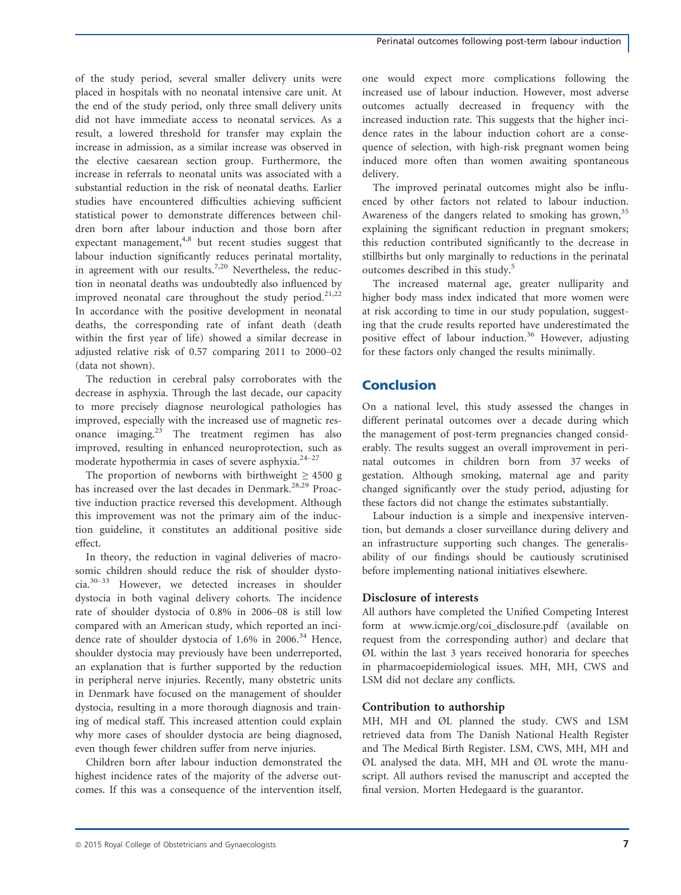of the study period, several smaller delivery units were placed in hospitals with no neonatal intensive care unit. At the end of the study period, only three small delivery units did not have immediate access to neonatal services. As a result, a lowered threshold for transfer may explain the increase in admission, as a similar increase was observed in the elective caesarean section group. Furthermore, the increase in referrals to neonatal units was associated with a substantial reduction in the risk of neonatal deaths. Earlier studies have encountered difficulties achieving sufficient statistical power to demonstrate differences between children born after labour induction and those born after expectant management,  $4,8$  but recent studies suggest that labour induction significantly reduces perinatal mortality, in agreement with our results.<sup>7,20</sup> Nevertheless, the reduction in neonatal deaths was undoubtedly also influenced by improved neonatal care throughout the study period.<sup>21,22</sup> In accordance with the positive development in neonatal deaths, the corresponding rate of infant death (death within the first year of life) showed a similar decrease in adjusted relative risk of 0.57 comparing 2011 to 2000–02 (data not shown).

The reduction in cerebral palsy corroborates with the decrease in asphyxia. Through the last decade, our capacity to more precisely diagnose neurological pathologies has improved, especially with the increased use of magnetic resonance imaging.<sup>23</sup> The treatment regimen has also improved, resulting in enhanced neuroprotection, such as moderate hypothermia in cases of severe asphyxia.<sup>24-27</sup>

The proportion of newborns with birthweight  $\geq$  4500 g has increased over the last decades in Denmark.<sup>28,29</sup> Proactive induction practice reversed this development. Although this improvement was not the primary aim of the induction guideline, it constitutes an additional positive side effect.

In theory, the reduction in vaginal deliveries of macrosomic children should reduce the risk of shoulder dystocia.30–<sup>33</sup> However, we detected increases in shoulder dystocia in both vaginal delivery cohorts. The incidence rate of shoulder dystocia of 0.8% in 2006–08 is still low compared with an American study, which reported an incidence rate of shoulder dystocia of  $1.6\%$  in 2006.<sup>34</sup> Hence, shoulder dystocia may previously have been underreported, an explanation that is further supported by the reduction in peripheral nerve injuries. Recently, many obstetric units in Denmark have focused on the management of shoulder dystocia, resulting in a more thorough diagnosis and training of medical staff. This increased attention could explain why more cases of shoulder dystocia are being diagnosed, even though fewer children suffer from nerve injuries.

Children born after labour induction demonstrated the highest incidence rates of the majority of the adverse outcomes. If this was a consequence of the intervention itself, one would expect more complications following the increased use of labour induction. However, most adverse outcomes actually decreased in frequency with the increased induction rate. This suggests that the higher incidence rates in the labour induction cohort are a consequence of selection, with high-risk pregnant women being induced more often than women awaiting spontaneous delivery.

The improved perinatal outcomes might also be influenced by other factors not related to labour induction. Awareness of the dangers related to smoking has grown,  $35$ explaining the significant reduction in pregnant smokers; this reduction contributed significantly to the decrease in stillbirths but only marginally to reductions in the perinatal outcomes described in this study.<sup>5</sup>

The increased maternal age, greater nulliparity and higher body mass index indicated that more women were at risk according to time in our study population, suggesting that the crude results reported have underestimated the positive effect of labour induction.<sup>36</sup> However, adjusting for these factors only changed the results minimally.

# Conclusion

On a national level, this study assessed the changes in different perinatal outcomes over a decade during which the management of post-term pregnancies changed considerably. The results suggest an overall improvement in perinatal outcomes in children born from 37 weeks of gestation. Although smoking, maternal age and parity changed significantly over the study period, adjusting for these factors did not change the estimates substantially.

Labour induction is a simple and inexpensive intervention, but demands a closer surveillance during delivery and an infrastructure supporting such changes. The generalisability of our findings should be cautiously scrutinised before implementing national initiatives elsewhere.

# Disclosure of interests

All authors have completed the Unified Competing Interest form at [www.icmje.org/coi\\_disclosure.pdf](http://www.icmje.org/coi_disclosure.pdf) (available on request from the corresponding author) and declare that ØL within the last 3 years received honoraria for speeches in pharmacoepidemiological issues. MH, MH, CWS and LSM did not declare any conflicts.

### Contribution to authorship

MH, MH and ØL planned the study. CWS and LSM retrieved data from The Danish National Health Register and The Medical Birth Register. LSM, CWS, MH, MH and ØL analysed the data. MH, MH and ØL wrote the manuscript. All authors revised the manuscript and accepted the final version. Morten Hedegaard is the guarantor.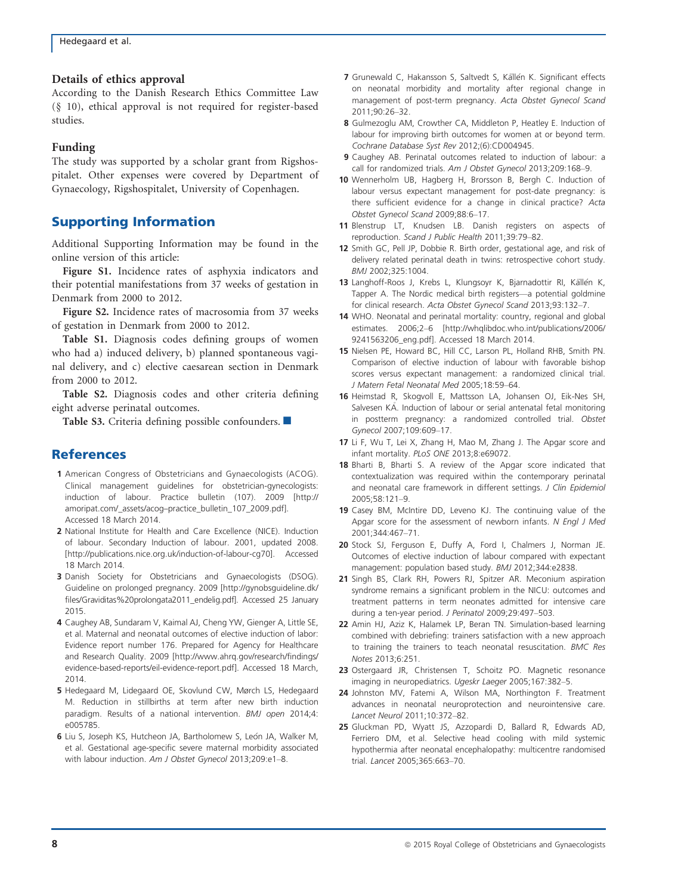#### Details of ethics approval

According to the Danish Research Ethics Committee Law (§ 10), ethical approval is not required for register-based studies.

### Funding

The study was supported by a scholar grant from Rigshospitalet. Other expenses were covered by Department of Gynaecology, Rigshospitalet, University of Copenhagen.

# Supporting Information

Additional Supporting Information may be found in the online version of this article:

Figure S1. Incidence rates of asphyxia indicators and their potential manifestations from 37 weeks of gestation in Denmark from 2000 to 2012.

Figure S2. Incidence rates of macrosomia from 37 weeks of gestation in Denmark from 2000 to 2012.

Table S1. Diagnosis codes defining groups of women who had a) induced delivery, b) planned spontaneous vaginal delivery, and c) elective caesarean section in Denmark from 2000 to 2012.

Table S2. Diagnosis codes and other criteria defining eight adverse perinatal outcomes.

Table S3. Criteria defining possible confounders.  $\blacksquare$ 

# References

- 1 American Congress of Obstetricians and Gynaecologists (ACOG). Clinical management guidelines for obstetrician-gynecologists: induction of labour. Practice bulletin (107). 2009 [[http://](http://amoripat.com/_assets/acog%e2%80%93practice_bulletin_107_2009.pdf) [amoripat.com/\\_assets/acog–practice\\_bulletin\\_107\\_2009.pdf](http://amoripat.com/_assets/acog%e2%80%93practice_bulletin_107_2009.pdf)]. Accessed 18 March 2014.
- 2 National Institute for Health and Care Excellence (NICE). Induction of labour. Secondary Induction of labour. 2001, updated 2008. [\[http://publications.nice.org.uk/induction-of-labour-cg70](http://publications.nice.org.uk/induction-of-labour-cg70)]. Accessed 18 March 2014.
- 3 Danish Society for Obstetricians and Gynaecologists (DSOG). Guideline on prolonged pregnancy. 2009 [\[http://gynobsguideline.dk/](http://gynobsguideline.dk/files/Graviditas%20prolongata2011_endelig.pdf) [files/Graviditas%20prolongata2011\\_endelig.pdf\]](http://gynobsguideline.dk/files/Graviditas%20prolongata2011_endelig.pdf). Accessed 25 January 2015.
- 4 Caughey AB, Sundaram V, Kaimal AJ, Cheng YW, Gienger A, Little SE, et al. Maternal and neonatal outcomes of elective induction of labor: Evidence report number 176. Prepared for Agency for Healthcare and Research Quality. 2009 [\[http://www.ahrq.gov/research/findings/](http://www.ahrq.gov/research/findings/evidence-based-reports/eil-evidence-report.pdf) [evidence-based-reports/eil-evidence-report.pdf\]](http://www.ahrq.gov/research/findings/evidence-based-reports/eil-evidence-report.pdf). Accessed 18 March, 2014.
- 5 Hedegaard M, Lidegaard OE, Skovlund CW, Mørch LS, Hedegaard M. Reduction in stillbirths at term after new birth induction paradigm. Results of a national intervention. BMJ open 2014;4: e005785.
- 6 Liu S, Joseph KS, Hutcheon JA, Bartholomew S, León JA, Walker M, et al. Gestational age-specific severe maternal morbidity associated with labour induction. Am J Obstet Gynecol 2013;209:e1-8.
- 7 Grunewald C, Hakansson S, Saltvedt S, Källén K. Significant effects on neonatal morbidity and mortality after regional change in management of post-term pregnancy. Acta Obstet Gynecol Scand 2011;90:26–32.
- 8 Gulmezoglu AM, Crowther CA, Middleton P, Heatley E, Induction of labour for improving birth outcomes for women at or beyond term. Cochrane Database Syst Rev 2012;(6):CD004945.
- 9 Caughey AB. Perinatal outcomes related to induction of labour: a call for randomized trials. Am J Obstet Gynecol 2013;209:168–9.
- 10 Wennerholm UB, Hagberg H, Brorsson B, Bergh C. Induction of labour versus expectant management for post-date pregnancy: is there sufficient evidence for a change in clinical practice? Acta Obstet Gynecol Scand 2009;88:6–17.
- 11 Blenstrup LT, Knudsen LB. Danish registers on aspects of reproduction. Scand J Public Health 2011;39:79–82.
- 12 Smith GC, Pell JP, Dobbie R. Birth order, gestational age, and risk of delivery related perinatal death in twins: retrospective cohort study. BMJ 2002;325:1004.
- 13 Langhoff-Roos J, Krebs L, Klungsoyr K, Bjarnadottir RI, Källén K, Tapper A. The Nordic medical birth registers—a potential goldmine for clinical research. Acta Obstet Gynecol Scand 2013;93:132–7.
- 14 WHO. Neonatal and perinatal mortality: country, regional and global estimates. 2006;2–6 [\[http://whqlibdoc.who.int/publications/2006/](http://whqlibdoc.who.int/publications/2006/9241563206_eng.pdf) [9241563206\\_eng.pdf\]](http://whqlibdoc.who.int/publications/2006/9241563206_eng.pdf). Accessed 18 March 2014.
- 15 Nielsen PE, Howard BC, Hill CC, Larson PL, Holland RHB, Smith PN. Comparison of elective induction of labour with favorable bishop scores versus expectant management: a randomized clinical trial. J Matern Fetal Neonatal Med 2005;18:59–64.
- 16 Heimstad R, Skogvoll E, Mattsson LA, Johansen OJ, Eik-Nes SH, Salvesen KA. Induction of labour or serial antenatal fetal monitoring in postterm pregnancy: a randomized controlled trial. Obstet Gynecol 2007;109:609–17.
- 17 Li F, Wu T, Lei X, Zhang H, Mao M, Zhang J. The Apgar score and infant mortality. PLoS ONE 2013;8:e69072.
- 18 Bharti B, Bharti S. A review of the Apgar score indicated that contextualization was required within the contemporary perinatal and neonatal care framework in different settings. J Clin Epidemiol 2005;58:121–9.
- 19 Casey BM, McIntire DD, Leveno KJ. The continuing value of the Apgar score for the assessment of newborn infants. N Engl J Med 2001;344:467–71.
- 20 Stock SJ, Ferguson E, Duffy A, Ford I, Chalmers J, Norman JE. Outcomes of elective induction of labour compared with expectant management: population based study. BMJ 2012;344:e2838.
- 21 Singh BS, Clark RH, Powers RJ, Spitzer AR. Meconium aspiration syndrome remains a significant problem in the NICU: outcomes and treatment patterns in term neonates admitted for intensive care during a ten-year period. J Perinatol 2009;29:497–503.
- 22 Amin HJ, Aziz K, Halamek LP, Beran TN. Simulation-based learning combined with debriefing: trainers satisfaction with a new approach to training the trainers to teach neonatal resuscitation. BMC Res Notes 2013;6:251.
- 23 Ostergaard JR, Christensen T, Schoitz PO. Magnetic resonance imaging in neuropediatrics. Ugeskr Laeger 2005;167:382–5.
- 24 Johnston MV, Fatemi A, Wilson MA, Northington F. Treatment advances in neonatal neuroprotection and neurointensive care. Lancet Neurol 2011;10:372–82.
- 25 Gluckman PD, Wyatt JS, Azzopardi D, Ballard R, Edwards AD, Ferriero DM, et al. Selective head cooling with mild systemic hypothermia after neonatal encephalopathy: multicentre randomised trial. Lancet 2005;365:663–70.